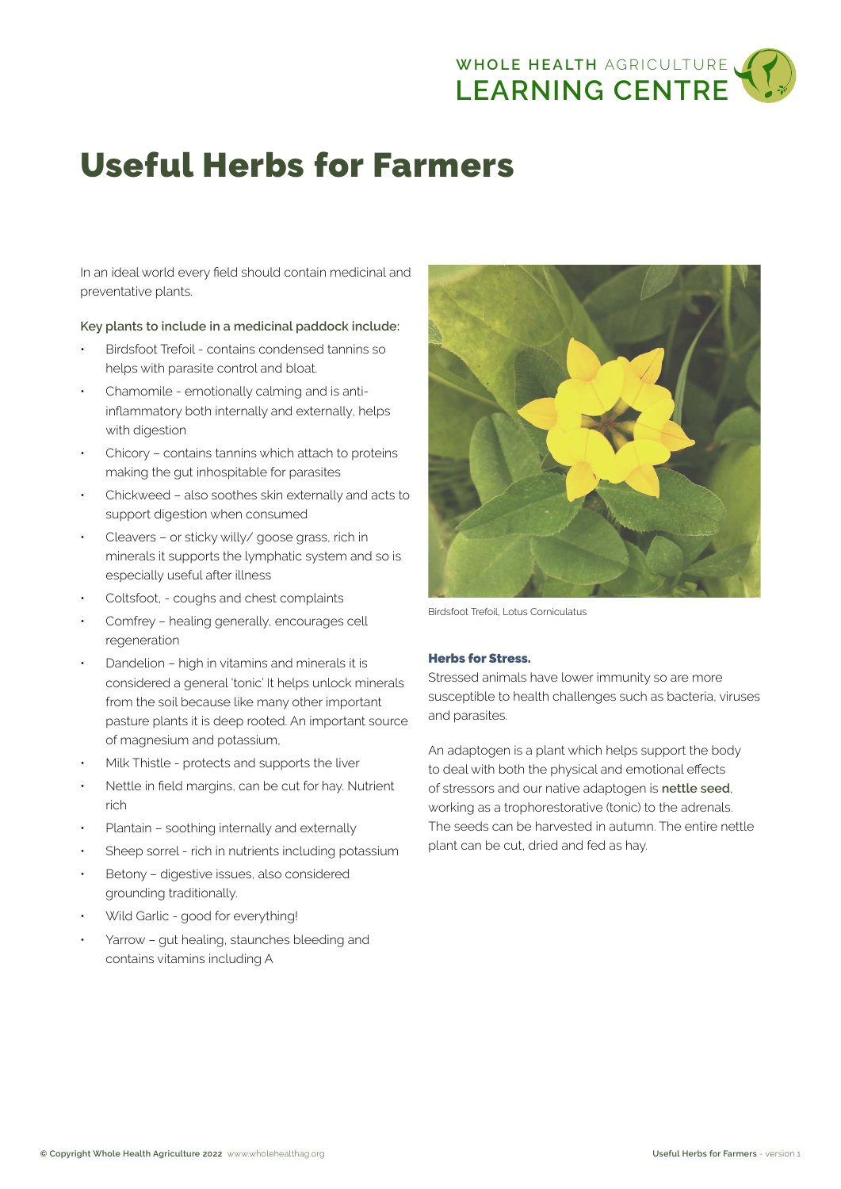

# Useful Herbs for Farmers

In an ideal world every field should contain medicinal and preventative plants.

## **Key plants to include in a medicinal paddock include:**

- Birdsfoot Trefoil contains condensed tannins so helps with parasite control and bloat.
- Chamomile emotionally calming and is antiinflammatory both internally and externally, helps with digestion
- Chicory contains tannins which attach to proteins making the gut inhospitable for parasites
- Chickweed also soothes skin externally and acts to support digestion when consumed
- Cleavers or sticky willy/ goose grass, rich in minerals it supports the lymphatic system and so is especially useful after illness
- Coltsfoot, coughs and chest complaints
- Comfrey healing generally, encourages cell regeneration
- Dandelion high in vitamins and minerals it is considered a general 'tonic' It helps unlock minerals from the soil because like many other important pasture plants it is deep rooted. An important source of magnesium and potassium,
- Milk Thistle protects and supports the liver
- Nettle in field margins, can be cut for hay. Nutrient rich
- Plantain soothing internally and externally
- Sheep sorrel rich in nutrients including potassium
- Betony digestive issues, also considered grounding traditionally.
- Wild Garlic good for everything!
- Yarrow gut healing, staunches bleeding and contains vitamins including A



Birdsfoot Trefoil, Lotus Corniculatus

## Herbs for Stress.

Stressed animals have lower immunity so are more susceptible to health challenges such as bacteria, viruses and parasites.

An adaptogen is a plant which helps support the body to deal with both the physical and emotional effects of stressors and our native adaptogen is **nettle seed**, working as a trophorestorative (tonic) to the adrenals. The seeds can be harvested in autumn. The entire nettle plant can be cut, dried and fed as hay.